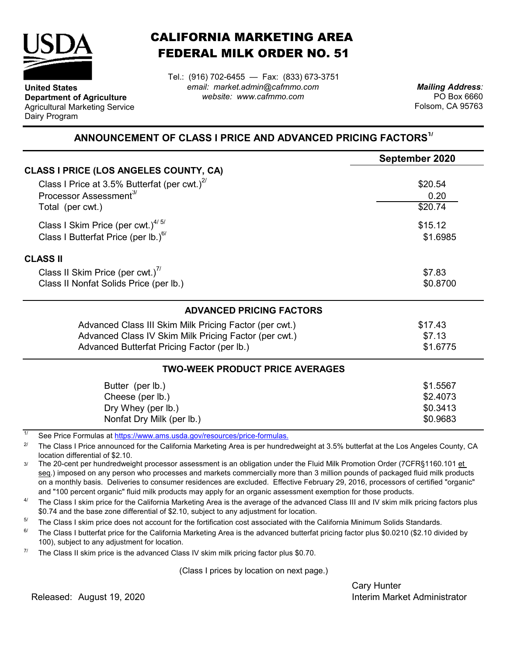

**United States**

Dairy Program

**Department of Agriculture** Agricultural Marketing Service

## CALIFORNIA MARKETING AREA FEDERAL MILK ORDER NO. 51

*email: market.admin@cafmmo.com website: www.cafmmo.com* Tel.: (916) 702-6455 — Fax: (833) 673-3751

*Mailing Address:* PO Box 6660 Folsom, CA 95763

## **ANNOUNCEMENT OF CLASS I PRICE AND ADVANCED PRICING FACTORS1/**

|                                                                               | September 2020 |  |  |
|-------------------------------------------------------------------------------|----------------|--|--|
| <b>CLASS I PRICE (LOS ANGELES COUNTY, CA)</b>                                 |                |  |  |
| Class I Price at 3.5% Butterfat (per cwt.) $2^{7}$                            | \$20.54        |  |  |
| Processor Assessment <sup>3/</sup>                                            | 0.20           |  |  |
| Total (per cwt.)                                                              | \$20.74        |  |  |
| Class I Skim Price (per cwt.) $4/5/$                                          | \$15.12        |  |  |
| Class I Butterfat Price (per lb.) <sup>6/</sup>                               | \$1.6985       |  |  |
| <b>CLASS II</b>                                                               |                |  |  |
| Class II Skim Price (per cwt.) <sup>7/</sup>                                  | \$7.83         |  |  |
| Class II Nonfat Solids Price (per lb.)                                        | \$0.8700       |  |  |
| <b>ADVANCED PRICING FACTORS</b>                                               |                |  |  |
| Advanced Class III Skim Milk Pricing Factor (per cwt.)                        | \$17.43        |  |  |
| Advanced Class IV Skim Milk Pricing Factor (per cwt.)                         | \$7.13         |  |  |
| Advanced Butterfat Pricing Factor (per lb.)                                   | \$1.6775       |  |  |
| <b>TWO-WEEK PRODUCT PRICE AVERAGES</b>                                        |                |  |  |
| Butter (per lb.)                                                              | \$1.5567       |  |  |
| Cheese (per lb.)                                                              | \$2.4073       |  |  |
| Dry Whey (per lb.)                                                            | \$0.3413       |  |  |
| Nonfat Dry Milk (per lb.)                                                     | \$0.9683       |  |  |
| 1/<br>Cee Dries Fermules of https://www.ams.uado.gov/resources/prise fermules |                |  |  |

See Price Formulas at <u>https://www.ams.usda.gov/resources/price-formulas.</u>

2/ The Class I Price announced for the California Marketing Area is per hundredweight at 3.5% butterfat at the Los Angeles County, CA location differential of \$2.10.

3/ The 20-cent per hundredweight processor assessment is an obligation under the Fluid Milk Promotion Order (7CFR§1160.101 et seq.) imposed on any person who processes and markets commercially more than 3 million pounds of packaged fluid milk products on a monthly basis. Deliveries to consumer residences are excluded. Effective February 29, 2016, processors of certified "organic" and "100 percent organic" fluid milk products may apply for an organic assessment exemption for those products.

4/ The Class I skim price for the California Marketing Area is the average of the advanced Class III and IV skim milk pricing factors plus \$0.74 and the base zone differential of \$2.10, subject to any adjustment for location.

5/ The Class I skim price does not account for the fortification cost associated with the California Minimum Solids Standards.

6/ The Class I butterfat price for the California Marketing Area is the advanced butterfat pricing factor plus \$0.0210 (\$2.10 divided by 100), subject to any adjustment for location.

7/ The Class II skim price is the advanced Class IV skim milk pricing factor plus \$0.70.

(Class I prices by location on next page.)

Cary Hunter Released: Interim Market Administrator August 19, 2020